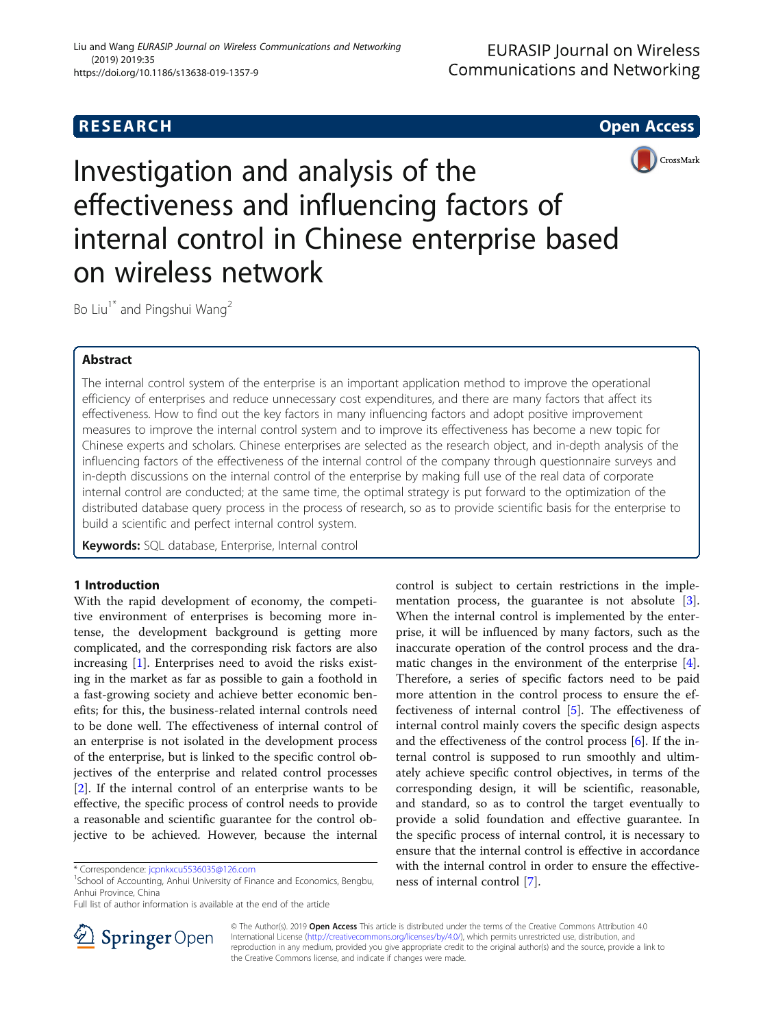# **RESEARCH CHE Open Access**



Investigation and analysis of the effectiveness and influencing factors of internal control in Chinese enterprise based on wireless network

Bo Liu<sup>1\*</sup> and Pingshui Wang<sup>2</sup>

# Abstract

The internal control system of the enterprise is an important application method to improve the operational efficiency of enterprises and reduce unnecessary cost expenditures, and there are many factors that affect its effectiveness. How to find out the key factors in many influencing factors and adopt positive improvement measures to improve the internal control system and to improve its effectiveness has become a new topic for Chinese experts and scholars. Chinese enterprises are selected as the research object, and in-depth analysis of the influencing factors of the effectiveness of the internal control of the company through questionnaire surveys and in-depth discussions on the internal control of the enterprise by making full use of the real data of corporate internal control are conducted; at the same time, the optimal strategy is put forward to the optimization of the distributed database query process in the process of research, so as to provide scientific basis for the enterprise to build a scientific and perfect internal control system.

Keywords: SQL database, Enterprise, Internal control

# 1 Introduction

With the rapid development of economy, the competitive environment of enterprises is becoming more intense, the development background is getting more complicated, and the corresponding risk factors are also increasing [\[1\]](#page-6-0). Enterprises need to avoid the risks existing in the market as far as possible to gain a foothold in a fast-growing society and achieve better economic benefits; for this, the business-related internal controls need to be done well. The effectiveness of internal control of an enterprise is not isolated in the development process of the enterprise, but is linked to the specific control objectives of the enterprise and related control processes [[2\]](#page-6-0). If the internal control of an enterprise wants to be effective, the specific process of control needs to provide a reasonable and scientific guarantee for the control objective to be achieved. However, because the internal

control is subject to certain restrictions in the implementation process, the guarantee is not absolute [\[3](#page-6-0)]. When the internal control is implemented by the enterprise, it will be influenced by many factors, such as the inaccurate operation of the control process and the dramatic changes in the environment of the enterprise [\[4](#page-6-0)]. Therefore, a series of specific factors need to be paid more attention in the control process to ensure the effectiveness of internal control [\[5](#page-6-0)]. The effectiveness of internal control mainly covers the specific design aspects and the effectiveness of the control process [[6\]](#page-6-0). If the internal control is supposed to run smoothly and ultimately achieve specific control objectives, in terms of the corresponding design, it will be scientific, reasonable, and standard, so as to control the target eventually to provide a solid foundation and effective guarantee. In the specific process of internal control, it is necessary to ensure that the internal control is effective in accordance with the internal control in order to ensure the effectiveness of internal control [\[7\]](#page-6-0).



© The Author(s). 2019 Open Access This article is distributed under the terms of the Creative Commons Attribution 4.0 International License ([http://creativecommons.org/licenses/by/4.0/\)](http://creativecommons.org/licenses/by/4.0/), which permits unrestricted use, distribution, and reproduction in any medium, provided you give appropriate credit to the original author(s) and the source, provide a link to the Creative Commons license, and indicate if changes were made.

<sup>\*</sup> Correspondence: [jcpnkxcu5536035@126.com](mailto:jcpnkxcu5536035@126.com) <sup>1</sup>

<sup>&</sup>lt;sup>1</sup>School of Accounting, Anhui University of Finance and Economics, Bengbu, Anhui Province, China

Full list of author information is available at the end of the article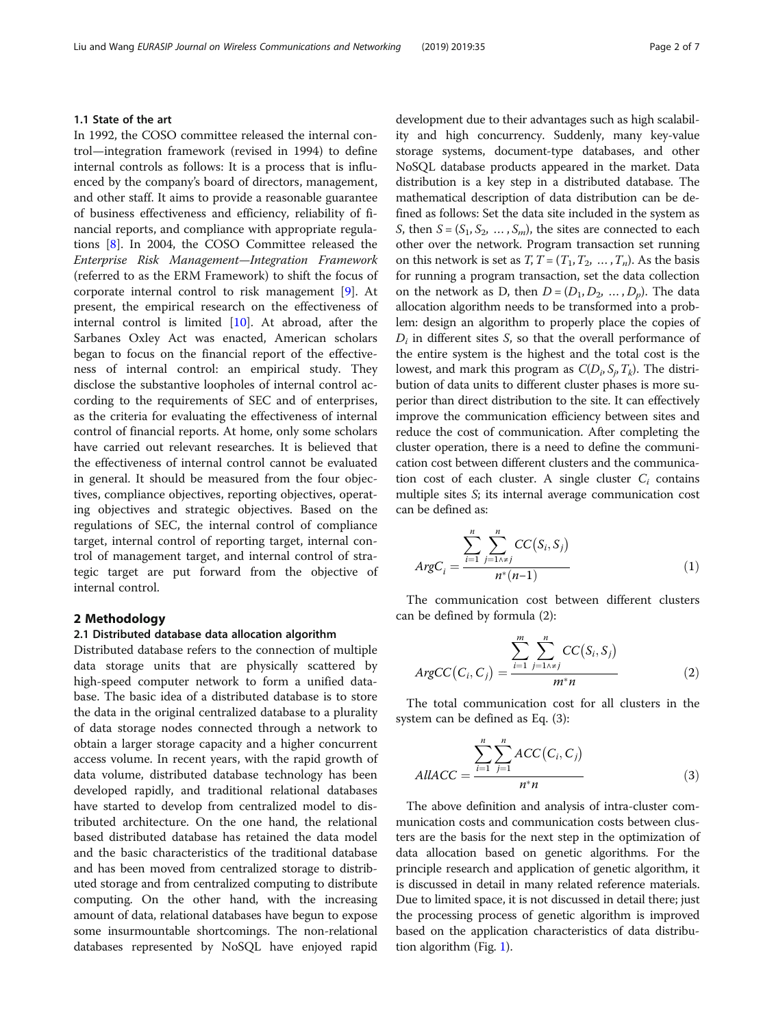## 1.1 State of the art

In 1992, the COSO committee released the internal control—integration framework (revised in 1994) to define internal controls as follows: It is a process that is influenced by the company's board of directors, management, and other staff. It aims to provide a reasonable guarantee of business effectiveness and efficiency, reliability of financial reports, and compliance with appropriate regulations [[8\]](#page-6-0). In 2004, the COSO Committee released the Enterprise Risk Management—Integration Framework (referred to as the ERM Framework) to shift the focus of corporate internal control to risk management [\[9](#page-6-0)]. At present, the empirical research on the effectiveness of internal control is limited  $[10]$  $[10]$ . At abroad, after the Sarbanes Oxley Act was enacted, American scholars began to focus on the financial report of the effectiveness of internal control: an empirical study. They disclose the substantive loopholes of internal control according to the requirements of SEC and of enterprises, as the criteria for evaluating the effectiveness of internal control of financial reports. At home, only some scholars have carried out relevant researches. It is believed that the effectiveness of internal control cannot be evaluated in general. It should be measured from the four objectives, compliance objectives, reporting objectives, operating objectives and strategic objectives. Based on the regulations of SEC, the internal control of compliance target, internal control of reporting target, internal control of management target, and internal control of strategic target are put forward from the objective of internal control.

#### 2 Methodology

#### 2.1 Distributed database data allocation algorithm

Distributed database refers to the connection of multiple data storage units that are physically scattered by high-speed computer network to form a unified database. The basic idea of a distributed database is to store the data in the original centralized database to a plurality of data storage nodes connected through a network to obtain a larger storage capacity and a higher concurrent access volume. In recent years, with the rapid growth of data volume, distributed database technology has been developed rapidly, and traditional relational databases have started to develop from centralized model to distributed architecture. On the one hand, the relational based distributed database has retained the data model and the basic characteristics of the traditional database and has been moved from centralized storage to distributed storage and from centralized computing to distribute computing. On the other hand, with the increasing amount of data, relational databases have begun to expose some insurmountable shortcomings. The non-relational databases represented by NoSQL have enjoyed rapid development due to their advantages such as high scalability and high concurrency. Suddenly, many key-value storage systems, document-type databases, and other NoSQL database products appeared in the market. Data distribution is a key step in a distributed database. The mathematical description of data distribution can be defined as follows: Set the data site included in the system as S, then  $S = (S_1, S_2, \ldots, S_m)$ , the sites are connected to each other over the network. Program transaction set running on this network is set as  $T, T = (T_1, T_2, ..., T_n)$ . As the basis for running a program transaction, set the data collection on the network as D, then  $D = (D_1, D_2, ..., D_p)$ . The data allocation algorithm needs to be transformed into a problem: design an algorithm to properly place the copies of  $D_i$  in different sites S, so that the overall performance of the entire system is the highest and the total cost is the lowest, and mark this program as  $C(D_i, S_i, T_k)$ . The distribution of data units to different cluster phases is more superior than direct distribution to the site. It can effectively improve the communication efficiency between sites and reduce the cost of communication. After completing the cluster operation, there is a need to define the communication cost between different clusters and the communication cost of each cluster. A single cluster  $C_i$  contains multiple sites S; its internal average communication cost can be defined as:

$$
ArgC_i = \frac{\sum_{i=1}^{n} \sum_{j=1 \land x \neq j}^{n} CC(S_i, S_j)}{n^*(n-1)}
$$
(1)

The communication cost between different clusters can be defined by formula (2):

$$
ArgCC(C_i, C_j) = \frac{\sum_{i=1}^{m} \sum_{j=1 \land x_j}^{n} CC(S_i, S_j)}{m^* n}
$$
 (2)

The total communication cost for all clusters in the system can be defined as Eq. (3):

$$
AllACC = \frac{\sum_{i=1}^{n} \sum_{j=1}^{n} ACC(C_i, C_j)}{n^* n}
$$
 (3)

The above definition and analysis of intra-cluster communication costs and communication costs between clusters are the basis for the next step in the optimization of data allocation based on genetic algorithms. For the principle research and application of genetic algorithm, it is discussed in detail in many related reference materials. Due to limited space, it is not discussed in detail there; just the processing process of genetic algorithm is improved based on the application characteristics of data distribution algorithm (Fig. [1](#page-2-0)).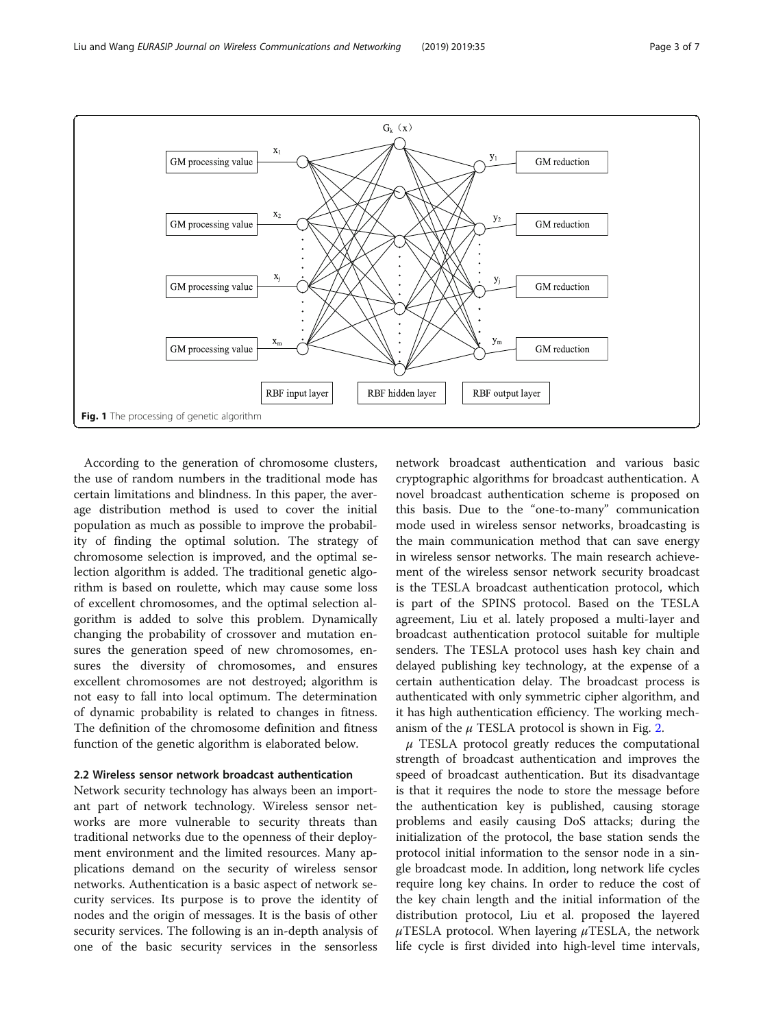<span id="page-2-0"></span>

According to the generation of chromosome clusters, the use of random numbers in the traditional mode has certain limitations and blindness. In this paper, the average distribution method is used to cover the initial population as much as possible to improve the probability of finding the optimal solution. The strategy of chromosome selection is improved, and the optimal selection algorithm is added. The traditional genetic algorithm is based on roulette, which may cause some loss of excellent chromosomes, and the optimal selection algorithm is added to solve this problem. Dynamically changing the probability of crossover and mutation ensures the generation speed of new chromosomes, ensures the diversity of chromosomes, and ensures excellent chromosomes are not destroyed; algorithm is not easy to fall into local optimum. The determination of dynamic probability is related to changes in fitness. The definition of the chromosome definition and fitness function of the genetic algorithm is elaborated below.

# 2.2 Wireless sensor network broadcast authentication

Network security technology has always been an important part of network technology. Wireless sensor networks are more vulnerable to security threats than traditional networks due to the openness of their deployment environment and the limited resources. Many applications demand on the security of wireless sensor networks. Authentication is a basic aspect of network security services. Its purpose is to prove the identity of nodes and the origin of messages. It is the basis of other security services. The following is an in-depth analysis of one of the basic security services in the sensorless network broadcast authentication and various basic cryptographic algorithms for broadcast authentication. A novel broadcast authentication scheme is proposed on this basis. Due to the "one-to-many" communication mode used in wireless sensor networks, broadcasting is the main communication method that can save energy in wireless sensor networks. The main research achievement of the wireless sensor network security broadcast is the TESLA broadcast authentication protocol, which is part of the SPINS protocol. Based on the TESLA agreement, Liu et al. lately proposed a multi-layer and broadcast authentication protocol suitable for multiple senders. The TESLA protocol uses hash key chain and delayed publishing key technology, at the expense of a certain authentication delay. The broadcast process is authenticated with only symmetric cipher algorithm, and it has high authentication efficiency. The working mechanism of the  $\mu$  TESLA protocol is shown in Fig. [2](#page-3-0).

 $\mu$  TESLA protocol greatly reduces the computational strength of broadcast authentication and improves the speed of broadcast authentication. But its disadvantage is that it requires the node to store the message before the authentication key is published, causing storage problems and easily causing DoS attacks; during the initialization of the protocol, the base station sends the protocol initial information to the sensor node in a single broadcast mode. In addition, long network life cycles require long key chains. In order to reduce the cost of the key chain length and the initial information of the distribution protocol, Liu et al. proposed the layered  $\mu$ TESLA protocol. When layering  $\mu$ TESLA, the network life cycle is first divided into high-level time intervals,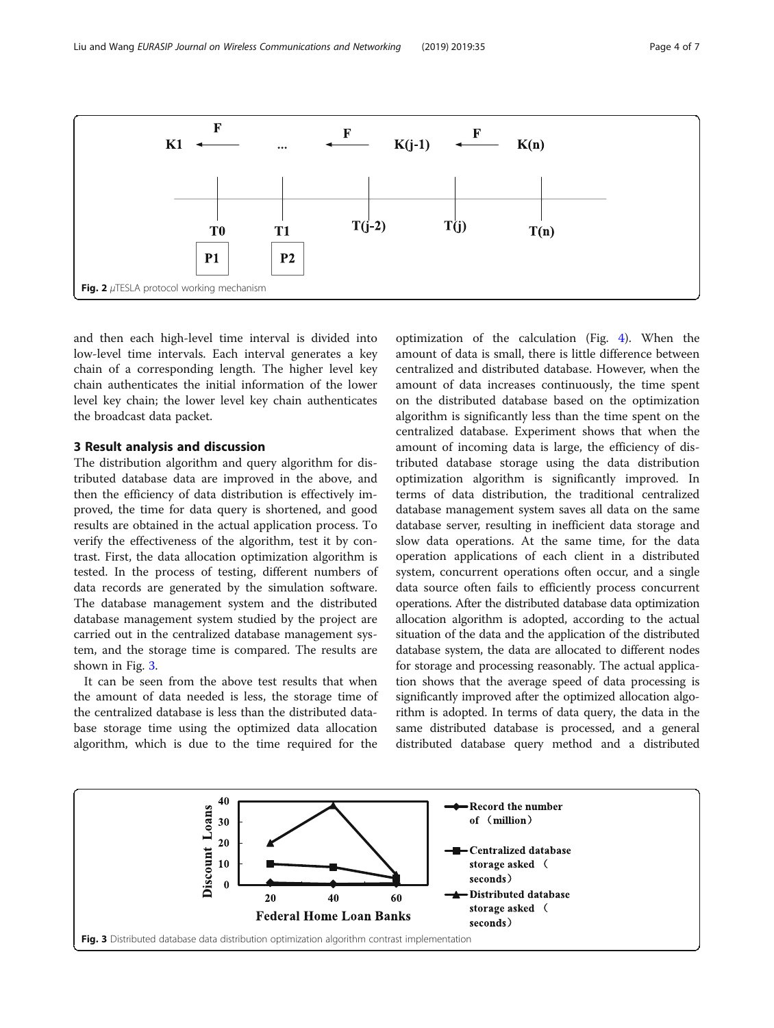<span id="page-3-0"></span>

and then each high-level time interval is divided into low-level time intervals. Each interval generates a key chain of a corresponding length. The higher level key chain authenticates the initial information of the lower level key chain; the lower level key chain authenticates the broadcast data packet.

## 3 Result analysis and discussion

The distribution algorithm and query algorithm for distributed database data are improved in the above, and then the efficiency of data distribution is effectively improved, the time for data query is shortened, and good results are obtained in the actual application process. To verify the effectiveness of the algorithm, test it by contrast. First, the data allocation optimization algorithm is tested. In the process of testing, different numbers of data records are generated by the simulation software. The database management system and the distributed database management system studied by the project are carried out in the centralized database management system, and the storage time is compared. The results are shown in Fig. 3.

It can be seen from the above test results that when the amount of data needed is less, the storage time of the centralized database is less than the distributed database storage time using the optimized data allocation algorithm, which is due to the time required for the

optimization of the calculation (Fig. [4\)](#page-4-0). When the amount of data is small, there is little difference between centralized and distributed database. However, when the amount of data increases continuously, the time spent on the distributed database based on the optimization algorithm is significantly less than the time spent on the centralized database. Experiment shows that when the amount of incoming data is large, the efficiency of distributed database storage using the data distribution optimization algorithm is significantly improved. In terms of data distribution, the traditional centralized database management system saves all data on the same database server, resulting in inefficient data storage and slow data operations. At the same time, for the data operation applications of each client in a distributed system, concurrent operations often occur, and a single data source often fails to efficiently process concurrent operations. After the distributed database data optimization allocation algorithm is adopted, according to the actual situation of the data and the application of the distributed database system, the data are allocated to different nodes for storage and processing reasonably. The actual application shows that the average speed of data processing is significantly improved after the optimized allocation algorithm is adopted. In terms of data query, the data in the same distributed database is processed, and a general distributed database query method and a distributed

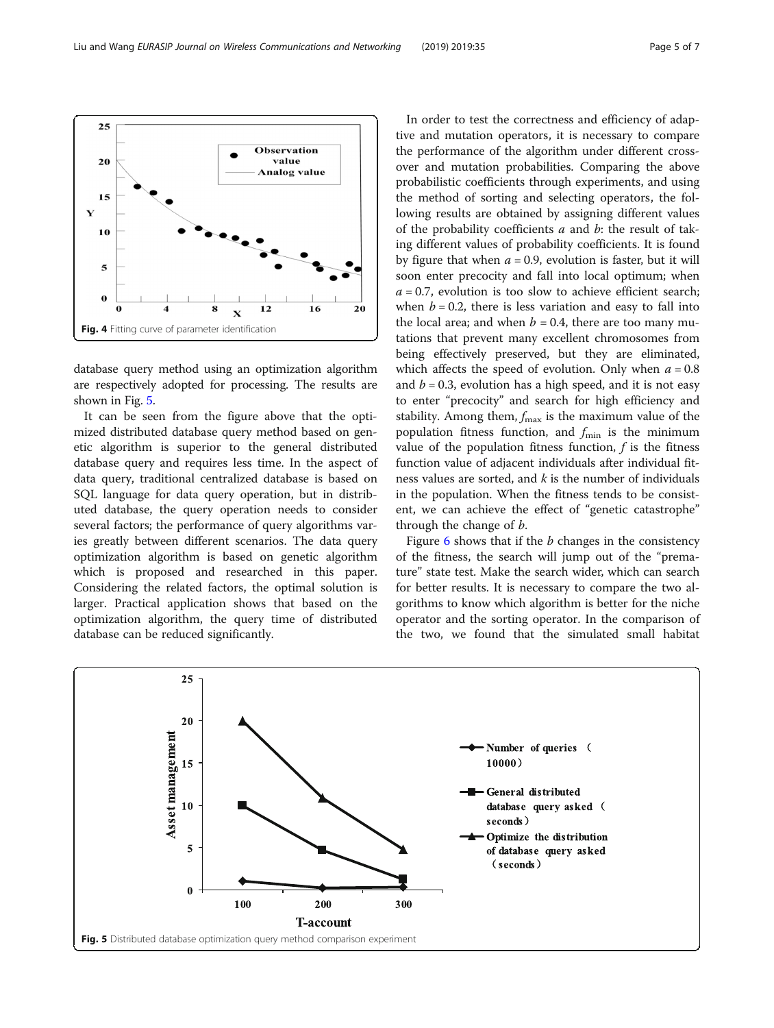database query method using an optimization algorithm are respectively adopted for processing. The results are shown in Fig. 5.

It can be seen from the figure above that the optimized distributed database query method based on genetic algorithm is superior to the general distributed database query and requires less time. In the aspect of data query, traditional centralized database is based on SQL language for data query operation, but in distributed database, the query operation needs to consider several factors; the performance of query algorithms varies greatly between different scenarios. The data query optimization algorithm is based on genetic algorithm which is proposed and researched in this paper. Considering the related factors, the optimal solution is larger. Practical application shows that based on the optimization algorithm, the query time of distributed database can be reduced significantly.

In order to test the correctness and efficiency of adaptive and mutation operators, it is necessary to compare the performance of the algorithm under different crossover and mutation probabilities. Comparing the above probabilistic coefficients through experiments, and using the method of sorting and selecting operators, the following results are obtained by assigning different values of the probability coefficients  $a$  and  $b$ : the result of taking different values of probability coefficients. It is found by figure that when  $a = 0.9$ , evolution is faster, but it will soon enter precocity and fall into local optimum; when  $a = 0.7$ , evolution is too slow to achieve efficient search; when  $b = 0.2$ , there is less variation and easy to fall into the local area; and when  $b = 0.4$ , there are too many mutations that prevent many excellent chromosomes from being effectively preserved, but they are eliminated, which affects the speed of evolution. Only when  $a = 0.8$ and  $b = 0.3$ , evolution has a high speed, and it is not easy to enter "precocity" and search for high efficiency and stability. Among them,  $f_{\text{max}}$  is the maximum value of the population fitness function, and  $f_{\min}$  is the minimum value of the population fitness function,  $f$  is the fitness function value of adjacent individuals after individual fitness values are sorted, and  $k$  is the number of individuals in the population. When the fitness tends to be consistent, we can achieve the effect of "genetic catastrophe" through the change of b. Figure  $6$  shows that if the  $b$  changes in the consistency

of the fitness, the search will jump out of the "premature" state test. Make the search wider, which can search for better results. It is necessary to compare the two algorithms to know which algorithm is better for the niche operator and the sorting operator. In the comparison of the two, we found that the simulated small habitat

<span id="page-4-0"></span>



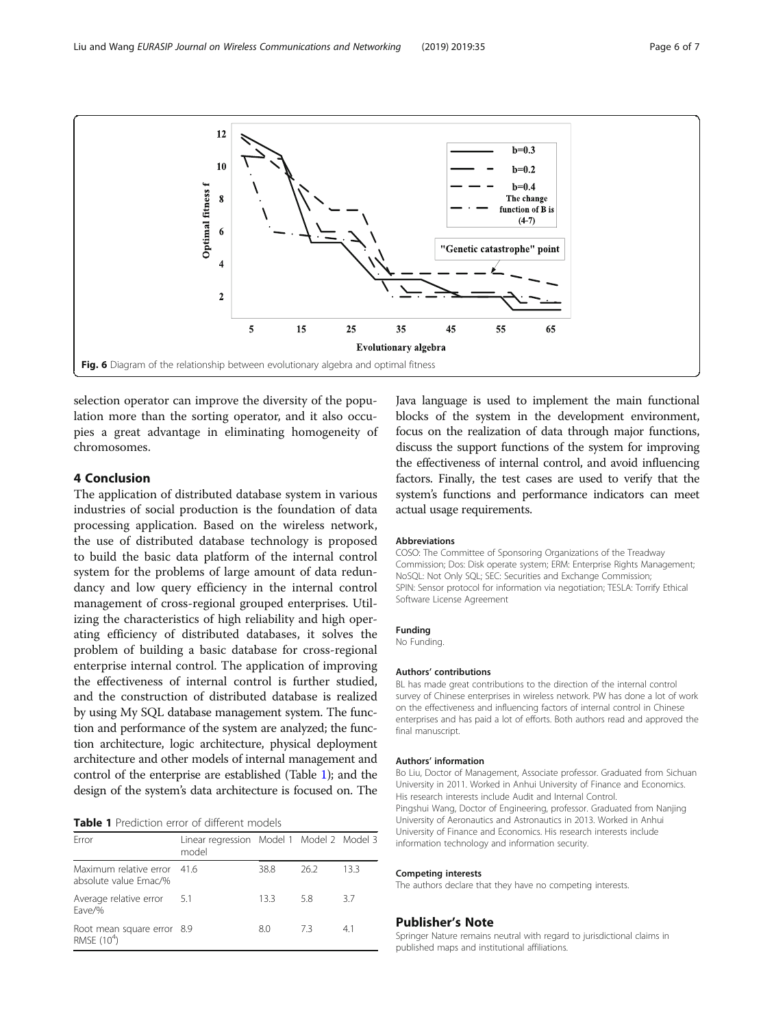<span id="page-5-0"></span>

selection operator can improve the diversity of the population more than the sorting operator, and it also occupies a great advantage in eliminating homogeneity of chromosomes.

# 4 Conclusion

The application of distributed database system in various industries of social production is the foundation of data processing application. Based on the wireless network, the use of distributed database technology is proposed to build the basic data platform of the internal control system for the problems of large amount of data redundancy and low query efficiency in the internal control management of cross-regional grouped enterprises. Utilizing the characteristics of high reliability and high operating efficiency of distributed databases, it solves the problem of building a basic database for cross-regional enterprise internal control. The application of improving the effectiveness of internal control is further studied, and the construction of distributed database is realized by using My SQL database management system. The function and performance of the system are analyzed; the function architecture, logic architecture, physical deployment architecture and other models of internal management and control of the enterprise are established (Table 1); and the design of the system's data architecture is focused on. The

# Table 1 Prediction error of different models

| Frror                                                 | Linear regression Model 1 Model 2 Model 3<br>model |      |      |      |
|-------------------------------------------------------|----------------------------------------------------|------|------|------|
| Maximum relative error 41.6<br>absolute value Emac/%  |                                                    | 38.8 | 26.2 | 13.3 |
| Average relative error<br>Eave/%                      | 5.1                                                | 133  | 5.8  | 3.7  |
| Root mean square error 8.9<br>RMSE (10 <sup>4</sup> ) |                                                    | 8.0  | 73   | 41   |

Java language is used to implement the main functional blocks of the system in the development environment, focus on the realization of data through major functions, discuss the support functions of the system for improving the effectiveness of internal control, and avoid influencing factors. Finally, the test cases are used to verify that the system's functions and performance indicators can meet actual usage requirements.

#### Abbreviations

COSO: The Committee of Sponsoring Organizations of the Treadway Commission; Dos: Disk operate system; ERM: Enterprise Rights Management; NoSQL: Not Only SQL; SEC: Securities and Exchange Commission; SPIN: Sensor protocol for information via negotiation; TESLA: Torrify Ethical Software License Agreement

#### Funding

No Funding.

#### Authors' contributions

BL has made great contributions to the direction of the internal control survey of Chinese enterprises in wireless network. PW has done a lot of work on the effectiveness and influencing factors of internal control in Chinese enterprises and has paid a lot of efforts. Both authors read and approved the final manuscript.

#### Authors' information

Bo Liu, Doctor of Management, Associate professor. Graduated from Sichuan University in 2011. Worked in Anhui University of Finance and Economics. His research interests include Audit and Internal Control. Pingshui Wang, Doctor of Engineering, professor. Graduated from Nanjing University of Aeronautics and Astronautics in 2013. Worked in Anhui University of Finance and Economics. His research interests include information technology and information security.

#### Competing interests

The authors declare that they have no competing interests.

#### Publisher's Note

Springer Nature remains neutral with regard to jurisdictional claims in published maps and institutional affiliations.